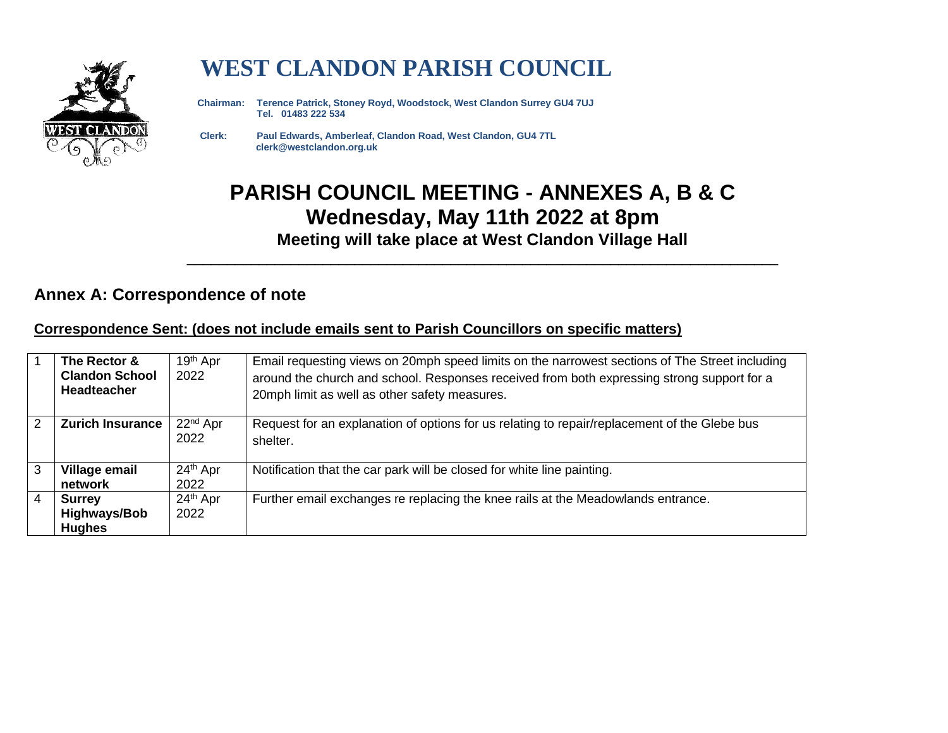

# **WEST CLANDON PARISH COUNCIL**

 **Chairman: Terence Patrick, Stoney Royd, Woodstock, West Clandon Surrey GU4 7UJ Tel. 01483 222 534** 

 **Clerk: Paul Edwards, Amberleaf, Clandon Road, West Clandon, GU4 7TL clerk@westclandon.org.uk**

## **PARISH COUNCIL MEETING - ANNEXES A, B & C Wednesday, May 11th 2022 at 8pm Meeting will take place at West Clandon Village Hall**

\_\_\_\_\_\_\_\_\_\_\_\_\_\_\_\_\_\_\_\_\_\_\_\_\_\_\_\_\_\_\_\_\_\_\_\_\_\_\_\_\_\_\_\_\_\_\_\_\_\_\_\_\_\_\_\_\_\_\_\_\_\_\_\_\_\_\_\_\_\_\_\_\_\_

#### **Annex A: Correspondence of note**

#### **Correspondence Sent: (does not include emails sent to Parish Councillors on specific matters)**

| -1             | The Rector &<br><b>Clandon School</b><br><b>Headteacher</b> | 19 <sup>th</sup> Apr<br>2022 | Email requesting views on 20mph speed limits on the narrowest sections of The Street including<br>around the church and school. Responses received from both expressing strong support for a<br>20mph limit as well as other safety measures. |
|----------------|-------------------------------------------------------------|------------------------------|-----------------------------------------------------------------------------------------------------------------------------------------------------------------------------------------------------------------------------------------------|
| 2              | <b>Zurich Insurance</b>                                     | 22 <sup>nd</sup> Apr<br>2022 | Request for an explanation of options for us relating to repair/replacement of the Glebe bus<br>shelter.                                                                                                                                      |
| 3              | Village email<br>network                                    | 24th Apr<br>2022             | Notification that the car park will be closed for white line painting.                                                                                                                                                                        |
| $\overline{4}$ | <b>Surrey</b><br><b>Highways/Bob</b><br><b>Hughes</b>       | 24th Apr<br>2022             | Further email exchanges re replacing the knee rails at the Meadowlands entrance.                                                                                                                                                              |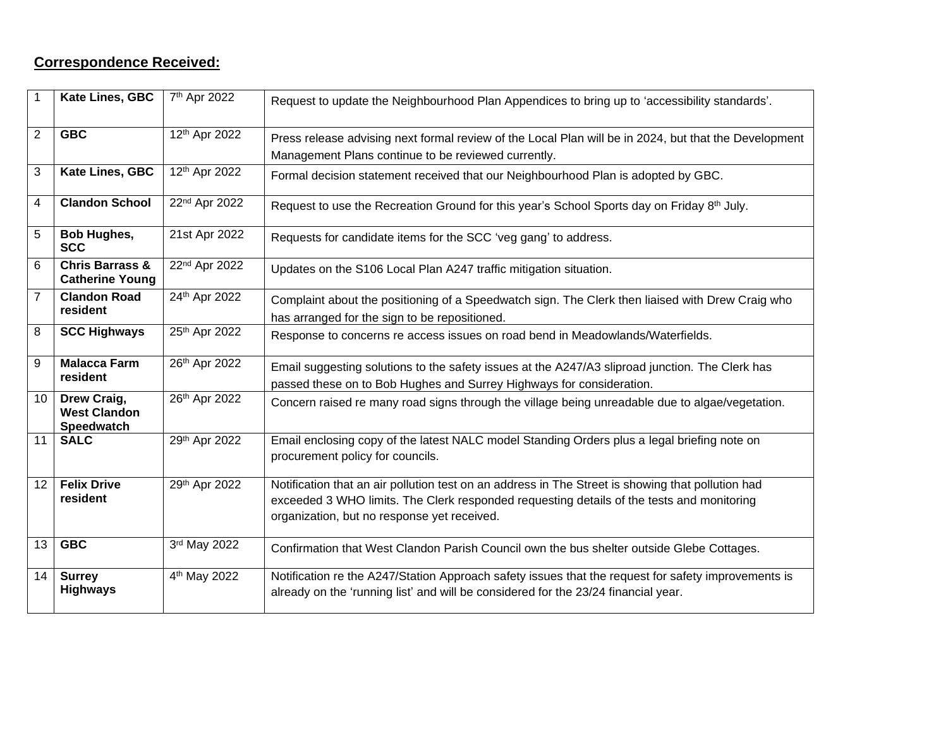### **Correspondence Received:**

| 1              | Kate Lines, GBC                                         | 7 <sup>th</sup> Apr 2022 | Request to update the Neighbourhood Plan Appendices to bring up to 'accessibility standards'.                                                                                                                                                 |
|----------------|---------------------------------------------------------|--------------------------|-----------------------------------------------------------------------------------------------------------------------------------------------------------------------------------------------------------------------------------------------|
| $\overline{2}$ | <b>GBC</b>                                              | 12th Apr 2022            | Press release advising next formal review of the Local Plan will be in 2024, but that the Development                                                                                                                                         |
|                |                                                         |                          | Management Plans continue to be reviewed currently.                                                                                                                                                                                           |
| 3              | Kate Lines, GBC                                         | 12th Apr 2022            | Formal decision statement received that our Neighbourhood Plan is adopted by GBC.                                                                                                                                                             |
| 4              | <b>Clandon School</b>                                   | 22nd Apr 2022            | Request to use the Recreation Ground for this year's School Sports day on Friday 8th July.                                                                                                                                                    |
| 5              | <b>Bob Hughes,</b><br><b>SCC</b>                        | 21st Apr 2022            | Requests for candidate items for the SCC 'veg gang' to address.                                                                                                                                                                               |
| 6              | <b>Chris Barrass &amp;</b><br><b>Catherine Young</b>    | 22nd Apr 2022            | Updates on the S106 Local Plan A247 traffic mitigation situation.                                                                                                                                                                             |
| $\overline{7}$ | <b>Clandon Road</b>                                     | 24th Apr 2022            | Complaint about the positioning of a Speedwatch sign. The Clerk then liaised with Drew Craig who                                                                                                                                              |
|                | resident                                                |                          | has arranged for the sign to be repositioned.                                                                                                                                                                                                 |
| 8              | <b>SCC Highways</b>                                     | 25th Apr 2022            | Response to concerns re access issues on road bend in Meadowlands/Waterfields.                                                                                                                                                                |
| 9              | <b>Malacca Farm</b>                                     | 26th Apr 2022            | Email suggesting solutions to the safety issues at the A247/A3 sliproad junction. The Clerk has                                                                                                                                               |
|                | resident                                                |                          | passed these on to Bob Hughes and Surrey Highways for consideration.                                                                                                                                                                          |
| 10             | Drew Craig,<br><b>West Clandon</b><br><b>Speedwatch</b> | 26th Apr 2022            | Concern raised re many road signs through the village being unreadable due to algae/vegetation.                                                                                                                                               |
| 11             | <b>SALC</b>                                             | 29th Apr 2022            | Email enclosing copy of the latest NALC model Standing Orders plus a legal briefing note on<br>procurement policy for councils.                                                                                                               |
| 12             | <b>Felix Drive</b><br>resident                          | 29th Apr 2022            | Notification that an air pollution test on an address in The Street is showing that pollution had<br>exceeded 3 WHO limits. The Clerk responded requesting details of the tests and monitoring<br>organization, but no response yet received. |
| 13             | <b>GBC</b>                                              | 3rd May 2022             | Confirmation that West Clandon Parish Council own the bus shelter outside Glebe Cottages.                                                                                                                                                     |
| 14             | <b>Surrey</b><br><b>Highways</b>                        | 4 <sup>th</sup> May 2022 | Notification re the A247/Station Approach safety issues that the request for safety improvements is<br>already on the 'running list' and will be considered for the 23/24 financial year.                                                     |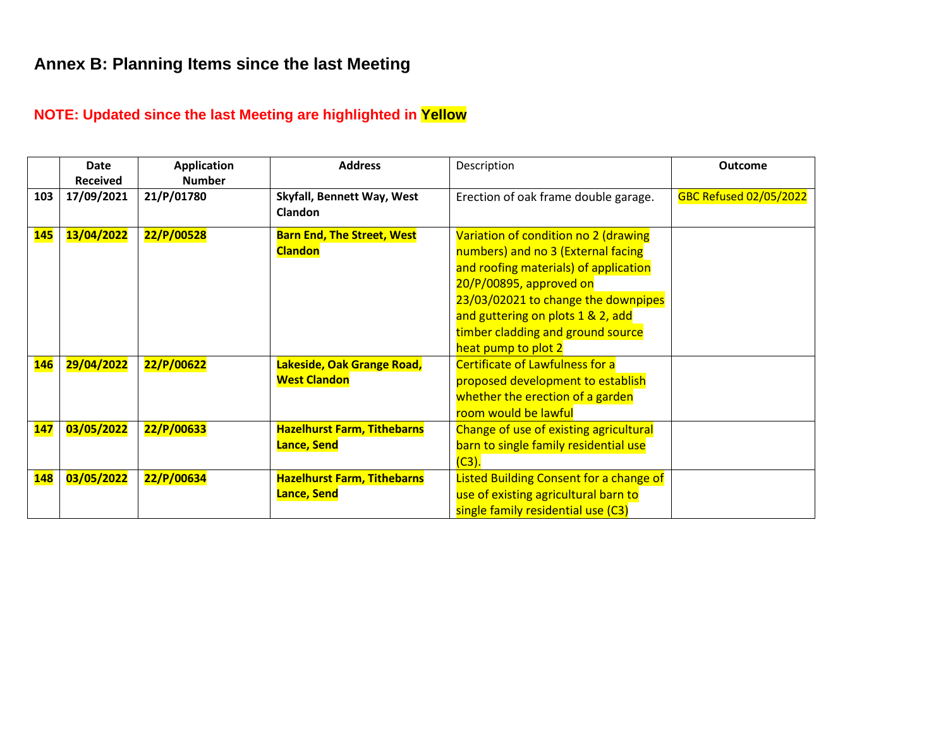### **Annex B: Planning Items since the last Meeting**

### **NOTE: Updated since the last Meeting are highlighted in Yellow**

|            | Date<br><b>Received</b> | <b>Application</b><br><b>Number</b> | <b>Address</b>                                      | Description                                                                                                                                                                                                                                                                            | <b>Outcome</b>                |
|------------|-------------------------|-------------------------------------|-----------------------------------------------------|----------------------------------------------------------------------------------------------------------------------------------------------------------------------------------------------------------------------------------------------------------------------------------------|-------------------------------|
| 103        | 17/09/2021              | 21/P/01780                          | Skyfall, Bennett Way, West<br><b>Clandon</b>        | Erection of oak frame double garage.                                                                                                                                                                                                                                                   | <b>GBC Refused 02/05/2022</b> |
| <b>145</b> | 13/04/2022              | 22/P/00528                          | <b>Barn End, The Street, West</b><br><b>Clandon</b> | Variation of condition no 2 (drawing<br>numbers) and no 3 (External facing<br>and roofing materials) of application<br>20/P/00895, approved on<br>23/03/02021 to change the downpipes<br>and guttering on plots 1 & 2, add<br>timber cladding and ground source<br>heat pump to plot 2 |                               |
| <b>146</b> | 29/04/2022              | 22/P/00622                          | Lakeside, Oak Grange Road,<br><b>West Clandon</b>   | <b>Certificate of Lawfulness for a</b><br>proposed development to establish<br>whether the erection of a garden<br>room would be lawful                                                                                                                                                |                               |
| <b>147</b> | 03/05/2022              | 22/P/00633                          | <b>Hazelhurst Farm, Tithebarns</b><br>Lance, Send   | Change of use of existing agricultural<br>barn to single family residential use<br>(C3).                                                                                                                                                                                               |                               |
| <b>148</b> | 03/05/2022              | 22/P/00634                          | <b>Hazelhurst Farm, Tithebarns</b><br>Lance, Send   | Listed Building Consent for a change of<br>use of existing agricultural barn to<br>single family residential use (C3)                                                                                                                                                                  |                               |